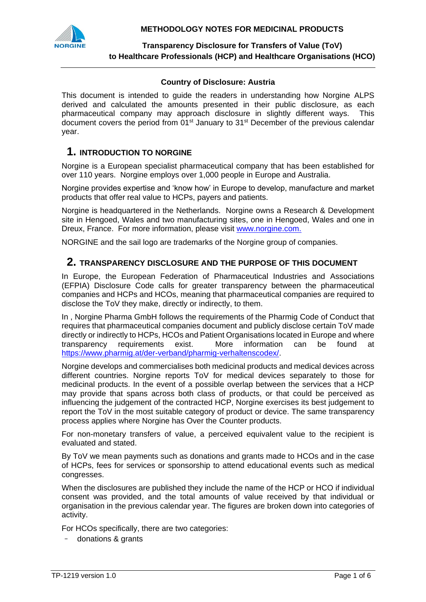

**Transparency Disclosure for Transfers of Value (ToV) to Healthcare Professionals (HCP) and Healthcare Organisations (HCO)**

#### **Country of Disclosure: Austria**

This document is intended to guide the readers in understanding how Norgine ALPS derived and calculated the amounts presented in their public disclosure, as each pharmaceutical company may approach disclosure in slightly different ways. This document covers the period from  $01<sup>st</sup>$  January to  $31<sup>st</sup>$  December of the previous calendar year.

# **1. INTRODUCTION TO NORGINE**

Norgine is a European specialist pharmaceutical company that has been established for over 110 years. Norgine employs over 1,000 people in Europe and Australia.

Norgine provides expertise and 'know how' in Europe to develop, manufacture and market products that offer real value to HCPs, payers and patients.

Norgine is headquartered in the Netherlands. Norgine owns a Research & Development site in Hengoed, Wales and two manufacturing sites, one in Hengoed, Wales and one in Dreux, France. For more information, please visit [www.norgine.com.](http://www.norgine.com/)

NORGINE and the sail logo are trademarks of the Norgine group of companies.

### **2. TRANSPARENCY DISCLOSURE AND THE PURPOSE OF THIS DOCUMENT**

In Europe, the European Federation of Pharmaceutical Industries and Associations (EFPIA) Disclosure Code calls for greater transparency between the pharmaceutical companies and HCPs and HCOs, meaning that pharmaceutical companies are required to disclose the ToV they make, directly or indirectly, to them.

In , Norgine Pharma GmbH follows the requirements of the Pharmig Code of Conduct that requires that pharmaceutical companies document and publicly disclose certain ToV made directly or indirectly to HCPs, HCOs and Patient Organisations located in Europe and where transparency requirements exist. More information can be found at [https://www.pharmig.at/der-verband/pharmig-verhaltenscodex/.](https://www.pharmig.at/der-verband/pharmig-verhaltenscodex/)

Norgine develops and commercialises both medicinal products and medical devices across different countries. Norgine reports ToV for medical devices separately to those for medicinal products. In the event of a possible overlap between the services that a HCP may provide that spans across both class of products, or that could be perceived as influencing the judgement of the contracted HCP, Norgine exercises its best judgement to report the ToV in the most suitable category of product or device. The same transparency process applies where Norgine has Over the Counter products.

For non-monetary transfers of value, a perceived equivalent value to the recipient is evaluated and stated.

By ToV we mean payments such as donations and grants made to HCOs and in the case of HCPs, fees for services or sponsorship to attend educational events such as medical congresses.

When the disclosures are published they include the name of the HCP or HCO if individual consent was provided, and the total amounts of value received by that individual or organisation in the previous calendar year. The figures are broken down into categories of activity.

For HCOs specifically, there are two categories:

- donations & grants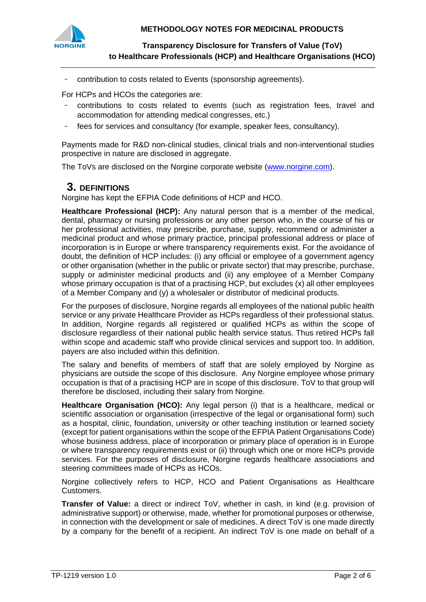

**Transparency Disclosure for Transfers of Value (ToV) to Healthcare Professionals (HCP) and Healthcare Organisations (HCO)**

- contribution to costs related to Events (sponsorship agreements).

For HCPs and HCOs the categories are:

- contributions to costs related to events (such as registration fees, travel and accommodation for attending medical congresses, etc.)
- fees for services and consultancy (for example, speaker fees, consultancy).

Payments made for R&D non-clinical studies, clinical trials and non-interventional studies prospective in nature are disclosed in aggregate.

The ToVs are disclosed on the Norgine corporate website [\(www.norgine.com\)](http://www.norgine.com/).

### **3. DEFINITIONS**

Norgine has kept the EFPIA Code definitions of HCP and HCO.

**Healthcare Professional (HCP):** Any natural person that is a member of the medical, dental, pharmacy or nursing professions or any other person who, in the course of his or her professional activities, may prescribe, purchase, supply, recommend or administer a medicinal product and whose primary practice, principal professional address or place of incorporation is in Europe or where transparency requirements exist. For the avoidance of doubt, the definition of HCP includes: (i) any official or employee of a government agency or other organisation (whether in the public or private sector) that may prescribe, purchase, supply or administer medicinal products and (ii) any employee of a Member Company whose primary occupation is that of a practising HCP, but excludes (x) all other employees of a Member Company and (y) a wholesaler or distributor of medicinal products.

For the purposes of disclosure, Norgine regards all employees of the national public health service or any private Healthcare Provider as HCPs regardless of their professional status. In addition, Norgine regards all registered or qualified HCPs as within the scope of disclosure regardless of their national public health service status. Thus retired HCPs fall within scope and academic staff who provide clinical services and support too. In addition, payers are also included within this definition.

The salary and benefits of members of staff that are solely employed by Norgine as physicians are outside the scope of this disclosure. Any Norgine employee whose primary occupation is that of a practising HCP are in scope of this disclosure. ToV to that group will therefore be disclosed, including their salary from Norgine.

**Healthcare Organisation (HCO):** Any legal person (i) that is a healthcare, medical or scientific association or organisation (irrespective of the legal or organisational form) such as a hospital, clinic, foundation, university or other teaching institution or learned society (except for patient organisations within the scope of the EFPIA Patient Organisations Code) whose business address, place of incorporation or primary place of operation is in Europe or where transparency requirements exist or (ii) through which one or more HCPs provide services. For the purposes of disclosure, Norgine regards healthcare associations and steering committees made of HCPs as HCOs.

Norgine collectively refers to HCP, HCO and Patient Organisations as Healthcare Customers.

**Transfer of Value:** a direct or indirect ToV, whether in cash, in kind (e.g. provision of administrative support) or otherwise, made, whether for promotional purposes or otherwise, in connection with the development or sale of medicines. A direct ToV is one made directly by a company for the benefit of a recipient. An indirect ToV is one made on behalf of a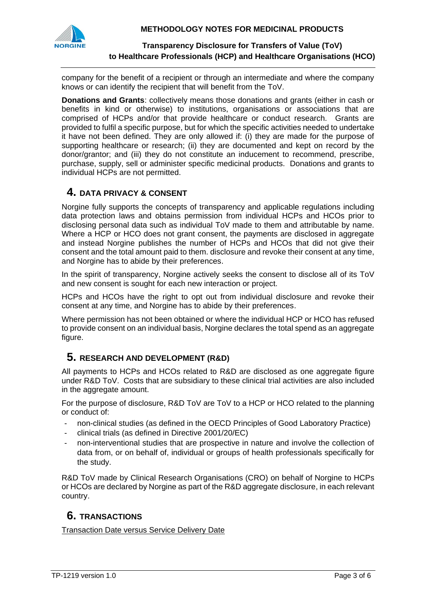

### **Transparency Disclosure for Transfers of Value (ToV) to Healthcare Professionals (HCP) and Healthcare Organisations (HCO)**

company for the benefit of a recipient or through an intermediate and where the company knows or can identify the recipient that will benefit from the ToV.

**Donations and Grants**: collectively means those donations and grants (either in cash or benefits in kind or otherwise) to institutions, organisations or associations that are comprised of HCPs and/or that provide healthcare or conduct research. Grants are provided to fulfil a specific purpose, but for which the specific activities needed to undertake it have not been defined. They are only allowed if: (i) they are made for the purpose of supporting healthcare or research; (ii) they are documented and kept on record by the donor/grantor; and (iii) they do not constitute an inducement to recommend, prescribe, purchase, supply, sell or administer specific medicinal products. Donations and grants to individual HCPs are not permitted.

# **4. DATA PRIVACY & CONSENT**

Norgine fully supports the concepts of transparency and applicable regulations including data protection laws and obtains permission from individual HCPs and HCOs prior to disclosing personal data such as individual ToV made to them and attributable by name. Where a HCP or HCO does not grant consent, the payments are disclosed in aggregate and instead Norgine publishes the number of HCPs and HCOs that did not give their consent and the total amount paid to them. disclosure and revoke their consent at any time, and Norgine has to abide by their preferences.

In the spirit of transparency, Norgine actively seeks the consent to disclose all of its ToV and new consent is sought for each new interaction or project.

HCPs and HCOs have the right to opt out from individual disclosure and revoke their consent at any time, and Norgine has to abide by their preferences.

Where permission has not been obtained or where the individual HCP or HCO has refused to provide consent on an individual basis, Norgine declares the total spend as an aggregate figure.

# **5. RESEARCH AND DEVELOPMENT (R&D)**

All payments to HCPs and HCOs related to R&D are disclosed as one aggregate figure under R&D ToV. Costs that are subsidiary to these clinical trial activities are also included in the aggregate amount.

For the purpose of disclosure, R&D ToV are ToV to a HCP or HCO related to the planning or conduct of:

- non-clinical studies (as defined in the OECD Principles of Good Laboratory Practice)
- clinical trials (as defined in Directive 2001/20/EC)
- non-interventional studies that are prospective in nature and involve the collection of data from, or on behalf of, individual or groups of health professionals specifically for the study.

R&D ToV made by Clinical Research Organisations (CRO) on behalf of Norgine to HCPs or HCOs are declared by Norgine as part of the R&D aggregate disclosure, in each relevant country.

# **6. TRANSACTIONS**

Transaction Date versus Service Delivery Date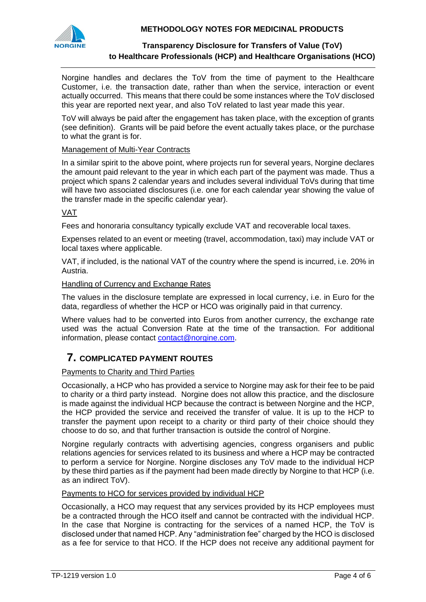



### **Transparency Disclosure for Transfers of Value (ToV) to Healthcare Professionals (HCP) and Healthcare Organisations (HCO)**

Norgine handles and declares the ToV from the time of payment to the Healthcare Customer, i.e. the transaction date, rather than when the service, interaction or event actually occurred. This means that there could be some instances where the ToV disclosed this year are reported next year, and also ToV related to last year made this year.

ToV will always be paid after the engagement has taken place, with the exception of grants (see definition). Grants will be paid before the event actually takes place, or the purchase to what the grant is for.

#### Management of Multi-Year Contracts

In a similar spirit to the above point, where projects run for several years, Norgine declares the amount paid relevant to the year in which each part of the payment was made. Thus a project which spans 2 calendar years and includes several individual ToVs during that time will have two associated disclosures (i.e. one for each calendar year showing the value of the transfer made in the specific calendar year).

### VAT

Fees and honoraria consultancy typically exclude VAT and recoverable local taxes.

Expenses related to an event or meeting (travel, accommodation, taxi) may include VAT or local taxes where applicable.

VAT, if included, is the national VAT of the country where the spend is incurred, i.e. 20% in Austria.

#### Handling of Currency and Exchange Rates

The values in the disclosure template are expressed in local currency, i.e. in Euro for the data, regardless of whether the HCP or HCO was originally paid in that currency.

Where values had to be converted into Euros from another currency, the exchange rate used was the actual Conversion Rate at the time of the transaction. For additional information, please contact [contact@norgine.com.](mailto:contact@norgine.com)

# **7. COMPLICATED PAYMENT ROUTES**

#### Payments to Charity and Third Parties

Occasionally, a HCP who has provided a service to Norgine may ask for their fee to be paid to charity or a third party instead. Norgine does not allow this practice, and the disclosure is made against the individual HCP because the contract is between Norgine and the HCP, the HCP provided the service and received the transfer of value. It is up to the HCP to transfer the payment upon receipt to a charity or third party of their choice should they choose to do so, and that further transaction is outside the control of Norgine.

Norgine regularly contracts with advertising agencies, congress organisers and public relations agencies for services related to its business and where a HCP may be contracted to perform a service for Norgine. Norgine discloses any ToV made to the individual HCP by these third parties as if the payment had been made directly by Norgine to that HCP (i.e. as an indirect ToV).

#### Payments to HCO for services provided by individual HCP

Occasionally, a HCO may request that any services provided by its HCP employees must be a contracted through the HCO itself and cannot be contracted with the individual HCP. In the case that Norgine is contracting for the services of a named HCP, the ToV is disclosed under that named HCP. Any "administration fee" charged by the HCO is disclosed as a fee for service to that HCO. If the HCP does not receive any additional payment for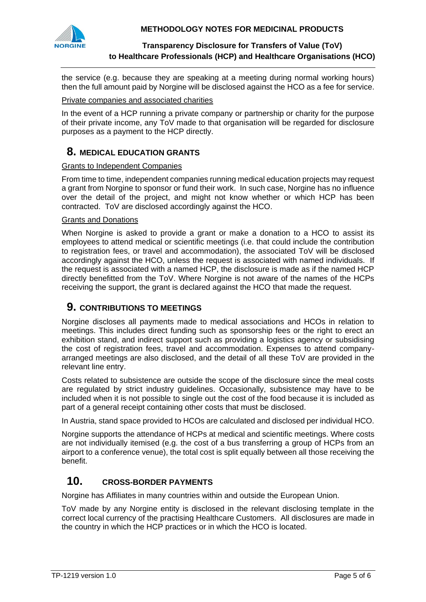

### **Transparency Disclosure for Transfers of Value (ToV) to Healthcare Professionals (HCP) and Healthcare Organisations (HCO)**

the service (e.g. because they are speaking at a meeting during normal working hours) then the full amount paid by Norgine will be disclosed against the HCO as a fee for service.

#### Private companies and associated charities

In the event of a HCP running a private company or partnership or charity for the purpose of their private income, any ToV made to that organisation will be regarded for disclosure purposes as a payment to the HCP directly.

## **8. MEDICAL EDUCATION GRANTS**

#### Grants to Independent Companies

From time to time, independent companies running medical education projects may request a grant from Norgine to sponsor or fund their work. In such case, Norgine has no influence over the detail of the project, and might not know whether or which HCP has been contracted. ToV are disclosed accordingly against the HCO.

#### Grants and Donations

When Norgine is asked to provide a grant or make a donation to a HCO to assist its employees to attend medical or scientific meetings (i.e. that could include the contribution to registration fees, or travel and accommodation), the associated ToV will be disclosed accordingly against the HCO, unless the request is associated with named individuals. If the request is associated with a named HCP, the disclosure is made as if the named HCP directly benefitted from the ToV. Where Norgine is not aware of the names of the HCPs receiving the support, the grant is declared against the HCO that made the request.

# **9. CONTRIBUTIONS TO MEETINGS**

Norgine discloses all payments made to medical associations and HCOs in relation to meetings. This includes direct funding such as sponsorship fees or the right to erect an exhibition stand, and indirect support such as providing a logistics agency or subsidising the cost of registration fees, travel and accommodation. Expenses to attend companyarranged meetings are also disclosed, and the detail of all these ToV are provided in the relevant line entry.

Costs related to subsistence are outside the scope of the disclosure since the meal costs are regulated by strict industry guidelines. Occasionally, subsistence may have to be included when it is not possible to single out the cost of the food because it is included as part of a general receipt containing other costs that must be disclosed.

In Austria, stand space provided to HCOs are calculated and disclosed per individual HCO.

Norgine supports the attendance of HCPs at medical and scientific meetings. Where costs are not individually itemised (e.g. the cost of a bus transferring a group of HCPs from an airport to a conference venue), the total cost is split equally between all those receiving the benefit.

# **10. CROSS-BORDER PAYMENTS**

Norgine has Affiliates in many countries within and outside the European Union.

ToV made by any Norgine entity is disclosed in the relevant disclosing template in the correct local currency of the practising Healthcare Customers. All disclosures are made in the country in which the HCP practices or in which the HCO is located.